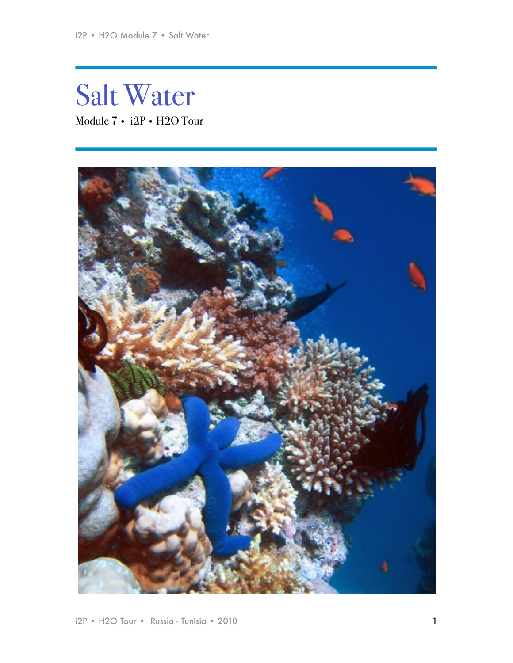# Salt Water Module 7 • i2P • H2O Tour

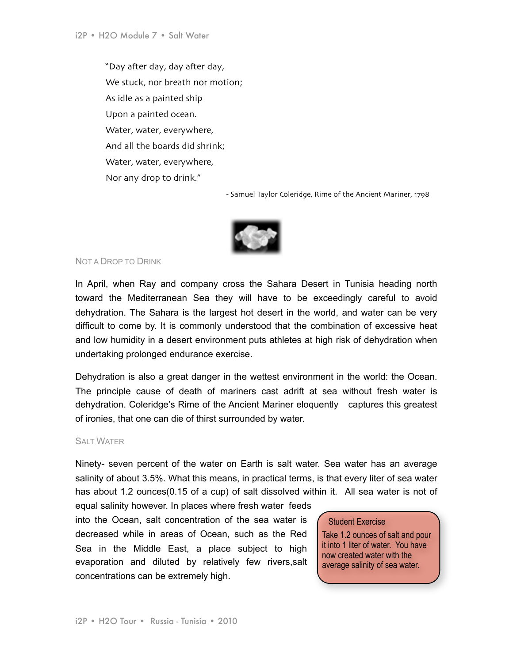"Day after day, day after day, We stuck, nor breath nor motion; As idle as a painted ship Upon a painted ocean. Water, water, everywhere, And all the boards did shrink; Water, water, everywhere, Nor any drop to drink."

- Samuel Taylor Coleridge, Rime of the Ancient Mariner, 1798



NOT A DROP TO DRINK

In April, when Ray and company cross the Sahara Desert in Tunisia heading north toward the Mediterranean Sea they will have to be exceedingly careful to avoid dehydration. The Sahara is the largest hot desert in the world, and water can be very difficult to come by. It is commonly understood that the combination of excessive heat and low humidity in a desert environment puts athletes at high risk of dehydration when undertaking prolonged endurance exercise.

Dehydration is also a great danger in the wettest environment in the world: the Ocean. The principle cause of death of mariners cast adrift at sea without fresh water is dehydration. Coleridge's Rime of the Ancient Mariner eloquently captures this greatest of ironies, that one can die of thirst surrounded by water.

### SALT WATER

Ninety- seven percent of the water on Earth is salt water. Sea water has an average salinity of about 3.5%. What this means, in practical terms, is that every liter of sea water has about 1.2 ounces(0.15 of a cup) of salt dissolved within it. All sea water is not of

equal salinity however. In places where fresh water feeds into the Ocean, salt concentration of the sea water is decreased while in areas of Ocean, such as the Red Sea in the Middle East, a place subject to high evaporation and diluted by relatively few rivers,salt concentrations can be extremely high.

### Student Exercise

Take 1.2 ounces of salt and pour it into 1 liter of water. You have now created water with the average salinity of sea water.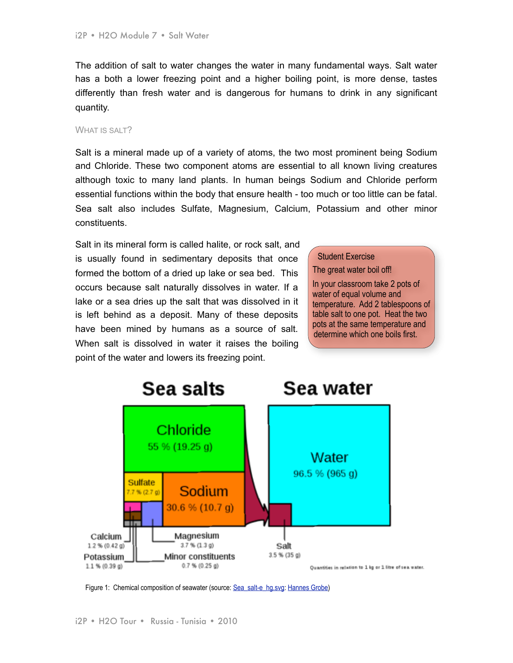The addition of salt to water changes the water in many fundamental ways. Salt water has a both a lower freezing point and a higher boiling point, is more dense, tastes differently than fresh water and is dangerous for humans to drink in any significant quantity.

### WHAT IS SALT?

Salt is a mineral made up of a variety of atoms, the two most prominent being Sodium and Chloride. These two component atoms are essential to all known living creatures although toxic to many land plants. In human beings Sodium and Chloride perform essential functions within the body that ensure health - too much or too little can be fatal. Sea salt also includes Sulfate, Magnesium, Calcium, Potassium and other minor constituents.

Salt in its mineral form is called halite, or rock salt, and is usually found in sedimentary deposits that once formed the bottom of a dried up lake or sea bed. This occurs because salt naturally dissolves in water. If a lake or a sea dries up the salt that was dissolved in it is left behind as a deposit. Many of these deposits have been mined by humans as a source of salt. When salt is dissolved in water it raises the boiling point of the water and lowers its freezing point.

### Student Exercise

### The great water boil off!

In your classroom take 2 pots of water of equal volume and temperature. Add 2 tablespoons of table salt to one pot. Heat the two pots at the same temperature and determine which one boils first.



### Figure 1: Chemical composition of seawater (source: [Sea\\_salt-e\\_hg.svg:](http://commons.wikimedia.org/wiki/File:Sea_salt-e_hg.svg) [Hannes Grobe\)](http://commons.wikimedia.org/wiki/User:Hgrobe)

### Sea salts

## Sea water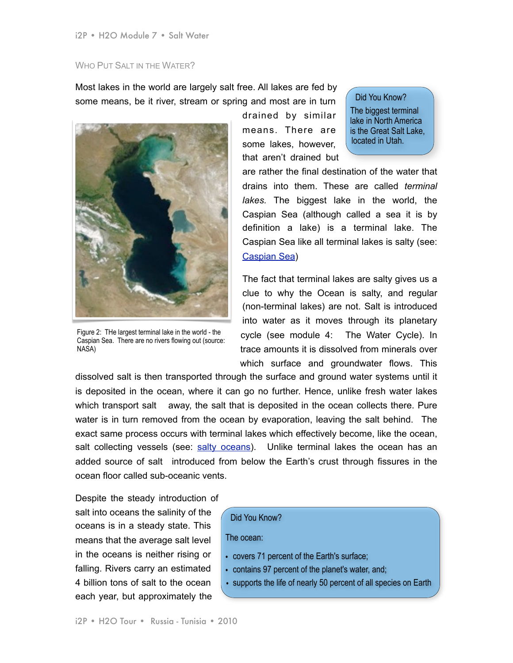### WHO PUT SALT IN THE WATER?

Most lakes in the world are largely salt free. All lakes are fed by some means, be it river, stream or spring and most are in turn



Figure 2: THe largest terminal lake in the world - the Caspian Sea. There are no rivers flowing out (source: NASA)

drained by similar means. There are some lakes, however, that aren't drained but

Did You Know? The biggest terminal lake in North America is the Great Salt Lake, located in Utah.

are rather the final destination of the water that drains into them. These are called *terminal lakes.* The biggest lake in the world, the Caspian Sea (although called a sea it is by definition a lake) is a terminal lake. The Caspian Sea like all terminal lakes is salty (see: [Caspian Sea](http://en.wikipedia.org/wiki/Caspian_Sea))

The fact that terminal lakes are salty gives us a clue to why the Ocean is salty, and regular (non-terminal lakes) are not. Salt is introduced into water as it moves through its planetary cycle (see module 4: The Water Cycle). In trace amounts it is dissolved from minerals over which surface and groundwater flows. This

dissolved salt is then transported through the surface and ground water systems until it is deposited in the ocean, where it can go no further. Hence, unlike fresh water lakes which transport salt away, the salt that is deposited in the ocean collects there. Pure water is in turn removed from the ocean by evaporation, leaving the salt behind. The exact same process occurs with terminal lakes which effectively become, like the ocean, salt collecting vessels (see: [salty oceans](http://www.enchantedlearning.com/subjects/ocean/Salty.shtml)). Unlike terminal lakes the ocean has an added source of salt introduced from below the Earth's crust through fissures in the ocean floor called sub-oceanic vents.

Despite the steady introduction of salt into oceans the salinity of the oceans is in a steady state. This means that the average salt level in the oceans is neither rising or falling. Rivers carry an estimated 4 billion tons of salt to the ocean each year, but approximately the

### Did You Know?

The ocean:

- covers 71 percent of the Earth's surface;
- contains 97 percent of the planet's water, and;
- supports the life of nearly 50 percent of all species on Earth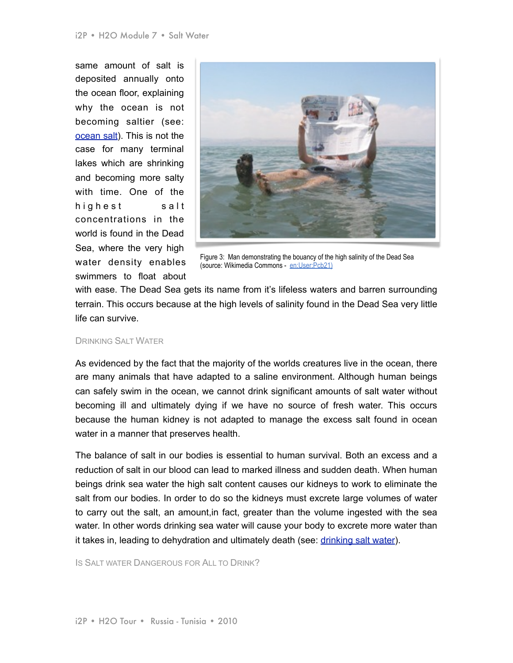same amount of salt is deposited annually onto the ocean floor, explaining why the ocean is not becoming saltier (see: [ocean salt](http://oceanography.suite101.com/article.cfm/why_is_the_ocean_salty)). This is not the case for many terminal lakes which are shrinking and becoming more salty with time. One of the highest salt concentrations in the world is found in the Dead Sea, where the very high water density enables swimmers to float about



Figure 3: Man demonstrating the bouancy of the high salinity of the Dead Sea (source: Wikimedia Commons - en:User:Pcb21)

with ease. The Dead Sea gets its name from it's lifeless waters and barren surrounding terrain. This occurs because at the high levels of salinity found in the Dead Sea very little life can survive.

### DRINKING SALT WATER

As evidenced by the fact that the majority of the worlds creatures live in the ocean, there are many animals that have adapted to a saline environment. Although human beings can safely swim in the ocean, we cannot drink significant amounts of salt water without becoming ill and ultimately dying if we have no source of fresh water. This occurs because the human kidney is not adapted to manage the excess salt found in ocean water in a manner that preserves health.

The balance of salt in our bodies is essential to human survival. Both an excess and a reduction of salt in our blood can lead to marked illness and sudden death. When human beings drink sea water the high salt content causes our kidneys to work to eliminate the salt from our bodies. In order to do so the kidneys must excrete large volumes of water to carry out the salt, an amount,in fact, greater than the volume ingested with the sea water. In other words drinking sea water will cause your body to excrete more water than it takes in, leading to dehydration and ultimately death (see: [drinking salt water\)](http://www.associatedcontent.com/article/171146/why_not_drink_salt_water.html?cat=51).

IS SALT WATER DANGEROUS FOR ALL TO DRINK?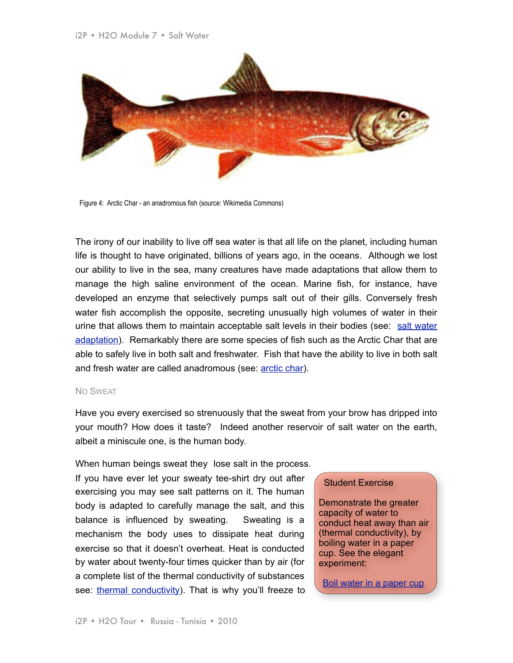

Figure 4: Arctic Char - an anadromous fish (source: Wikimedia Commons)

The irony of our inability to live off sea water is that all life on the planet, including human life is thought to have originated, billions of years ago, in the oceans. Although we lost our ability to live in the sea, many creatures have made adaptations that allow them to manage the high saline environment of the ocean. Marine fish, for instance, have developed an enzyme that selectively pumps salt out of their gills. Conversely fresh water fish accomplish the opposite, secreting unusually high volumes of water in their urine that allows them to maintain acceptable salt levels in their bodies (see: [salt water](http://www.scientificamerican.com/article.cfm?id=why-do-some-fish-normally) [adaptation](http://www.scientificamerican.com/article.cfm?id=why-do-some-fish-normally)). Remarkably there are some species of fish such as the Arctic Char that are able to safely live in both salt and freshwater. Fish that have the ability to live in both salt and fresh water are called anadromous (see: [arctic char](http://www.impossible2possible.com/world/modules/AP%2520Word%2520Module%252011%2520-%2520Place%2520of%2520Fish.pdf)).

### NO SWEAT

Have you every exercised so strenuously that the sweat from your brow has dripped into your mouth? How does it taste? Indeed another reservoir of salt water on the earth, albeit a miniscule one, is the human body.

When human beings sweat they lose salt in the process.

If you have ever let your sweaty tee-shirt dry out after exercising you may see salt patterns on it. The human body is adapted to carefully manage the salt, and this balance is influenced by sweating. Sweating is a mechanism the body uses to dissipate heat during exercise so that it doesn't overheat. Heat is conducted by water about twenty-four times quicker than by air (for a complete list of the thermal conductivity of substances see: [thermal conductivity\)](http://en.wikipedia.org/wiki/Thermal_conductivity). That is why you'll freeze to

### Student Exercise

Demonstrate the greater capacity of water to conduct heat away than air (thermal conductivity), by boiling water in a paper cup. See the elegant experiment:

[Boil water in a paper cup](http://www.practicalchemistry.org/experiments/the-thermal-properties-of-water,246,EX.html)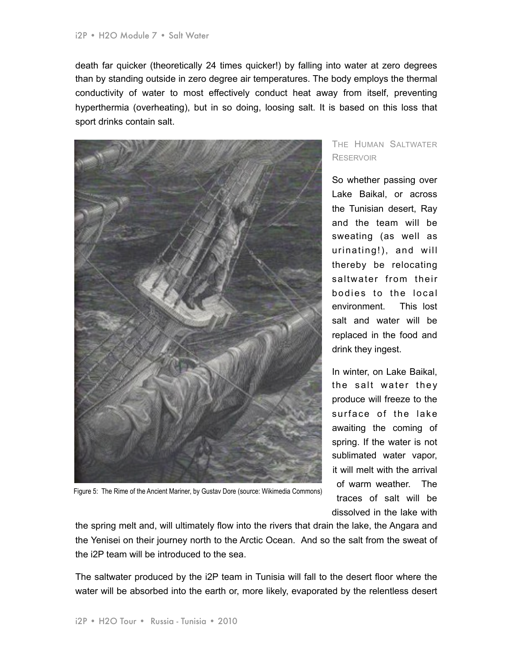death far quicker (theoretically 24 times quicker!) by falling into water at zero degrees than by standing outside in zero degree air temperatures. The body employs the thermal conductivity of water to most effectively conduct heat away from itself, preventing hyperthermia (overheating), but in so doing, loosing salt. It is based on this loss that sport drinks contain salt.



### THE HUMAN SALTWATER RESERVOIR

So whether passing over Lake Baikal, or across the Tunisian desert, Ray and the team will be sweating (as well as urinating!), and will thereby be relocating saltwater from their bodies to the local environment. This lost salt and water will be replaced in the food and drink they ingest.

In winter, on Lake Baikal, the salt water they produce will freeze to the surface of the lake awaiting the coming of spring. If the water is not sublimated water vapor, it will melt with the arrival of warm weather. The traces of salt will be dissolved in the lake with

Figure 5: The Rime of the Ancient Mariner, by Gustav Dore (source: Wikimedia Commons)

the spring melt and, will ultimately flow into the rivers that drain the lake, the Angara and the Yenisei on their journey north to the Arctic Ocean. And so the salt from the sweat of the i2P team will be introduced to the sea.

The saltwater produced by the i2P team in Tunisia will fall to the desert floor where the water will be absorbed into the earth or, more likely, evaporated by the relentless desert